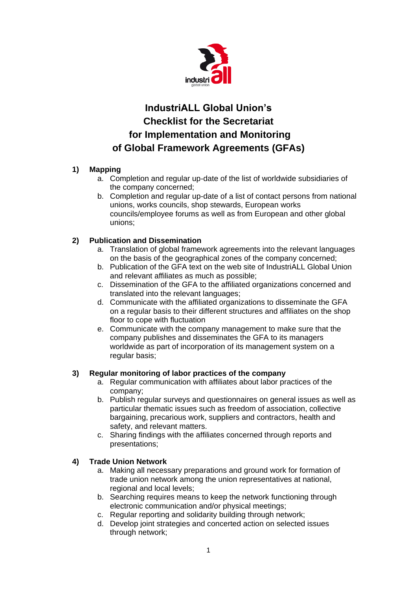

# **IndustriALL Global Union's Checklist for the Secretariat for Implementation and Monitoring of Global Framework Agreements (GFAs)**

# **1) Mapping**

- a. Completion and regular up-date of the list of worldwide subsidiaries of the company concerned;
- b. Completion and regular up-date of a list of contact persons from national unions, works councils, shop stewards, European works councils/employee forums as well as from European and other global unions;

# **2) Publication and Dissemination**

- a. Translation of global framework agreements into the relevant languages on the basis of the geographical zones of the company concerned;
- b. Publication of the GFA text on the web site of IndustriALL Global Union and relevant affiliates as much as possible;
- c. Dissemination of the GFA to the affiliated organizations concerned and translated into the relevant languages;
- d. Communicate with the affiliated organizations to disseminate the GFA on a regular basis to their different structures and affiliates on the shop floor to cope with fluctuation
- e. Communicate with the company management to make sure that the company publishes and disseminates the GFA to its managers worldwide as part of incorporation of its management system on a regular basis;

## **3) Regular monitoring of labor practices of the company**

- a. Regular communication with affiliates about labor practices of the company;
- b. Publish regular surveys and questionnaires on general issues as well as particular thematic issues such as freedom of association, collective bargaining, precarious work, suppliers and contractors, health and safety, and relevant matters.
- c. Sharing findings with the affiliates concerned through reports and presentations;

## **4) Trade Union Network**

- a. Making all necessary preparations and ground work for formation of trade union network among the union representatives at national, regional and local levels;
- b. Searching requires means to keep the network functioning through electronic communication and/or physical meetings;
- c. Regular reporting and solidarity building through network;
- d. Develop joint strategies and concerted action on selected issues through network;